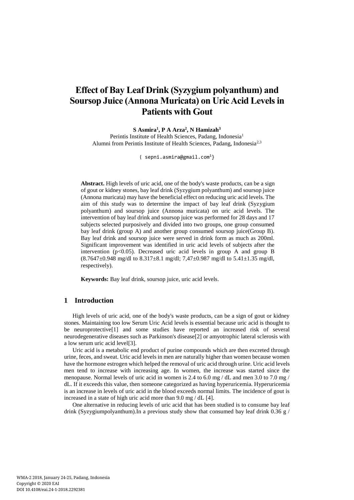# **Effect of Bay Leaf Drink [\(Syzygium polyanthum\)](http://www.necturajuice.com/kandungan-nutrisi-dan-manfaat-daun-salam-untuk-kesehatan/) and [Soursop Juice](https://www.google.com/url?sa=t&rct=j&q=&esrc=s&source=web&cd=2&ved=0ahUKEwi8g9n55dbZAhWDso8KHbwRAu4QFgg1MAE&url=https%3A%2F%2Fwww.sciencedirect.com%2Fscience%2Farticle%2Fpii%2FS0023643814005994&usg=AOvVaw0Req_Ji8E35CbuJR0EManr) (Annona Muricata) on Uric Acid Levels in Patients with Gout**

**S Asmira<sup>1</sup> , P A Arza<sup>2</sup> , N Hamizah<sup>3</sup>** Perintis Institute of Health Sciences, Padang, Indonesia<sup>1</sup> Alumni from Perintis Institute of Health Sciences, Padang, Indonesia<sup>2,3</sup>

{ sepni.asmira@gmail.com<sup>1</sup>}

**Abstract.** High levels of uric acid, one of the body's waste products, can be a sign of gout or kidney stones, bay leaf drink (Syzygium polyanthum) and soursop juice (Annona muricata) may have the beneficial effect on reducing uric acid levels. The aim of this study was to determine the impact of bay leaf drink (Syzygium polyanthum) and soursop juice (Annona muricata) on uric acid levels. The intervention of bay leaf drink and soursop juice was performed for 28 days and 17 subjects selected purposively and divided into two groups, one group consumed bay leaf drink (group A) and another group consumed soursop juice(Group B). Bay leaf drink and soursop juice were served in drink form as much as 200ml. Significant improvement was identified in uric acid levels of subjects after the intervention  $(p<0.05)$ . Decreased uric acid levels in group A and group B  $(8.7647\pm0.948 \text{ mg/dl to } 8.317\pm8.1 \text{ mg/dl}; 7.47\pm0.987 \text{ mg/dl to } 5.41\pm1.35 \text{ mg/dl},$ respectively).

**Keywords:** Bay leaf drink, soursop juice, uric acid levels.

# **1 Introduction**

High levels of uric acid, one of the body's waste products, can be a sign of gout or kidney stones. Maintaining too low Serum Uric Acid levels is essential because uric acid is thought to be neuroprotective[1] and some studies have reported an increased risk of several neurodegenerative diseases such as Parkinson's disease[2] or amyotrophic lateral sclerosis with a low serum uric acid level[3].

Uric acid is a metabolic end product of purine compounds which are then excreted through urine, feces, and sweat. Uric acid levels in men are naturally higher than women because women have the hormone estrogen which helped the removal of uric acid through urine. Uric acid levels men tend to increase with increasing age. In women, the increase was started since the menopause. Normal levels of uric acid in women is 2.4 to 6.0 mg  $/$  dL and men 3.0 to 7.0 mg  $/$ dL. If it exceeds this value, then someone categorized as having hyperuricemia. Hyperuricemia is an increase in levels of uric acid in the blood exceeds normal limits. The incidence of gout is increased in a state of high uric acid more than 9.0 mg / dL [4].

One alternative in reducing levels of uric acid that has been studied is to consume bay leaf drink (Syzygiumpolyanthum).In a previous study show that consumed bay leaf drink 0.36  $g/$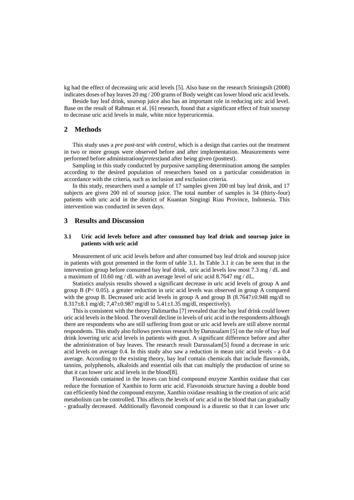kg had the effect of decreasing uric acid levels [5]. Also base on the research Sriningsih (2008) indicates doses of bay leaves 20 mg / 200 grams of Body weight can lower blood uric acid levels.

Beside bay leaf drink, soursop juice also has an important role in reducing uric acid level. Base on the result of Rahman et al. [6] research, found that a significant effect of fruit soursop to decrease uric acid levels in male, white mice hyperuricemia.

## **2 Methods**

This study uses a *pre post-test with control,* which is a design that carries out the treatment in two or more groups were observed before and after implementation. Measurements were performed before administration*(pretest)*and after being given (posttest).

Sampling in this study conducted by purposive sampling determination among the samples according to the desired population of researchers based on a particular consideration in accordance with the criteria, such as inclusion and exclusion criteria.

In this study, researchers used a sample of 17 samples given 200 ml bay leaf drink, and 17 subjects are given 200 ml of soursop juice. The total number of samples is 34 (thirty-four) patients with uric acid in the district of Kuantan Singingi Riau Province, Indonesia. This intervention was conducted in seven days.

## **3 Results and Discussion**

### **3.1 Uric acid levels before and after consumed bay leaf drink and soursop juice in patients with uric acid**

Measurement of uric acid levels before and after consumed bay leaf drink and soursop juice in patients with gout presented in the form of table 3.1. In Table 3.1 it can be seen that in the intervention group before consumed bay leaf drink, uric acid levels low most 7.3 mg / dL and a maximum of 10.60 mg / dL with an average level of uric acid 8.7647 mg / dL.

Statistics analysis results showed a significant decrease in uric acid levels of group A and group B ( $P < 0.05$ ). a greater reduction in uric acid levels was observed in group A compared with the group B. Decreased uric acid levels in group A and group B (8.7647±0.948 mg/dl to 8.317±8.1 mg/dl; 7,47±0.987 mg/dl to 5.41±1.35 mg/dl, respectively).

This is consistent with the theory Dalimartha [7] revealed that the bay leaf drink could lower uric acid levels in the blood. The overall decline in levels of uric acid in the respondents although there are respondents who are still suffering from gout or uric acid levels are still above normal respondents. This study also follows previous research by Darussalam [5] on the role of bay leaf drink lowering uric acid levels in patients with gout. A significant difference before and after the administration of bay leaves. The research result Darussalam[5] found a decrease in uric acid levels on average 0.4. In this study also saw a reduction in mean uric acid levels - a 0.4 average. According to the existing theory, bay leaf contain chemicals that include flavonoids, tannins, polyphenols, alkaloids and essential oils that can multiply the production of urine so that it can lower uric acid levels in the blood[8].

Flavonoids contained in the leaves can bind compound enzyme Xanthin oxidase that can reduce the formation of Xanthin to form uric acid. Flavonoids structure having a double bond can efficiently bind the compound enzyme, Xanthin oxidase resulting in the creation of uric acid metabolism can be controlled. This affects the levels of uric acid in the blood that can gradually - gradually decreased. Additionally flavonoid compound is a diuretic so that it can lower uric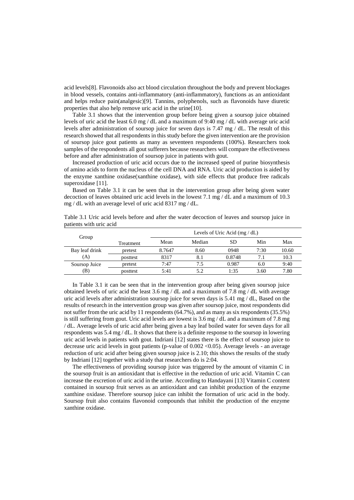acid levels[8]. Flavonoids also act blood circulation throughout the body and prevent blockages in blood vessels, contains anti-inflammatory (anti-inflammatory), functions as an antioxidant and helps reduce pain(analgesic)[9]. Tannins, polyphenols, such as flavonoids have diuretic properties that also help remove uric acid in the urine[10].

Table 3.1 shows that the intervention group before being given a soursop juice obtained levels of uric acid the least 6.0 mg / dL and a maximum of 9:40 mg / dL with average uric acid levels after administration of soursop juice for seven days is 7.47 mg / dL. The result of this research showed that all respondents in this study before the given intervention are the provision of soursop juice gout patients as many as seventeen respondents (100%). Researchers took samples of the respondents all gout sufferers because researchers will compare the effectiveness before and after administration of soursop juice in patients with gout.

Increased production of uric acid occurs due to the increased speed of purine biosynthesis of amino acids to form the nucleus of the cell DNA and RNA. Uric acid production is aided by the enzyme xanthine oxidase(xanthine oxidase), with side effects that produce free radicals superoxidase [11].

Based on Table 3.1 it can be seen that in the intervention group after being given water decoction of leaves obtained uric acid levels in the lowest 7.1 mg / dL and a maximum of 10.3 mg / dL with an average level of uric acid 8317 mg / dL.

| Table 3.1 Uric acid levels before and after the water decoction of leaves and soursop juice in |  |  |
|------------------------------------------------------------------------------------------------|--|--|
| patients with uric acid                                                                        |  |  |

| Group                 |           | Levels of Uric Acid $(mg/dL)$ |        |        |      |       |  |
|-----------------------|-----------|-------------------------------|--------|--------|------|-------|--|
|                       | Treatment | Mean                          | Median | SD     | Min  | Max   |  |
| Bay leaf drink<br>(A) | pretest   | 8.7647                        | 8.60   | 0948   | 7:30 | 10.60 |  |
|                       | posttest  | 8317                          | 8.1    | 0.8748 | 7.1  | 10.3  |  |
| Soursop Juice<br>(B)  | pretest   | 7:47                          | 7.5    | 0.987  | 6.0  | 9:40  |  |
|                       | posttest  | 5:41                          | 5.2    | 1:35   | 3.60 | 7.80  |  |

In Table 3.1 it can be seen that in the intervention group after being given soursop juice obtained levels of uric acid the least  $3.6 \text{ mg } / dL$  and a maximum of 7.8 mg / dL with average uric acid levels after administration soursop juice for seven days is 5.41 mg / dL, Based on the results of research in the intervention group was given after soursop juice, most respondents did not suffer from the uric acid by 11 respondents (64.7%), and as many as six respondents (35.5%) is still suffering from gout. Uric acid levels are lowest is 3.6 mg / dL and a maximum of 7.8 mg / dL. Average levels of uric acid after being given a bay leaf boiled water for seven days for all respondents was 5.4 mg / dL. It shows that there is a definite response to the soursop in lowering uric acid levels in patients with gout. Indriani [12] states there is the effect of soursop juice to decrease uric acid levels in gout patients (p-value of 0.002 <0.05). Average levels - an average reduction of uric acid after being given soursop juice is 2.10; this shows the results of the study by Indriani [12] together with a study that researchers do is 2:04.

The effectiveness of providing soursop juice was triggered by the amount of vitamin C in the soursop fruit is an antioxidant that is effective in the reduction of uric acid. Vitamin C can increase the excretion of uric acid in the urine. According to Handayani [13] Vitamin C content contained in soursop fruit serves as an antioxidant and can inhibit production of the enzyme xanthine oxidase. Therefore soursop juice can inhibit the formation of uric acid in the body. Soursop fruit also contains flavonoid compounds that inhibit the production of the enzyme xanthine oxidase.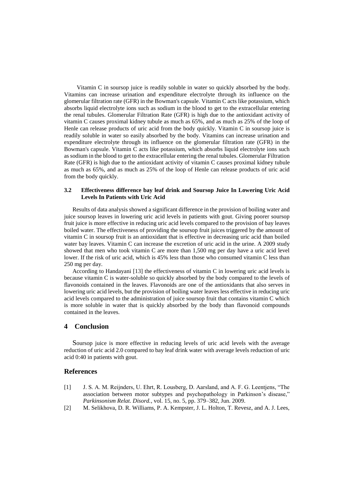Vitamin C in soursop juice is readily soluble in water so quickly absorbed by the body. Vitamins can increase urination and expenditure electrolyte through its influence on the glomerular filtration rate (GFR) in the Bowman's capsule. Vitamin C acts like potassium, which absorbs liquid electrolyte ions such as sodium in the blood to get to the extracellular entering the renal tubules. Glomerular Filtration Rate (GFR) is high due to the antioxidant activity of vitamin C causes proximal kidney tubule as much as 65%, and as much as 25% of the loop of Henle can release products of uric acid from the body quickly. Vitamin C in soursop juice is readily soluble in water so easily absorbed by the body. Vitamins can increase urination and expenditure electrolyte through its influence on the glomerular filtration rate (GFR) in the Bowman's capsule. Vitamin C acts like potassium, which absorbs liquid electrolyte ions such as sodium in the blood to get to the extracellular entering the renal tubules. Glomerular Filtration Rate (GFR) is high due to the antioxidant activity of vitamin C causes proximal kidney tubule as much as 65%, and as much as 25% of the loop of Henle can release products of uric acid from the body quickly.

#### **3.2 Effectiveness difference bay leaf drink and Soursop Juice In Lowering Uric Acid Levels In Patients with Uric Acid**

Results of data analysis showed a significant difference in the provision of boiling water and juice soursop leaves in lowering uric acid levels in patients with gout. Giving poorer soursop fruit juice is more effective in reducing uric acid levels compared to the provision of bay leaves boiled water. The effectiveness of providing the soursop fruit juices triggered by the amount of vitamin C in soursop fruit is an antioxidant that is effective in decreasing uric acid than boiled water bay leaves. Vitamin C can increase the excretion of uric acid in the urine. A 2009 study showed that men who took vitamin C are more than 1,500 mg per day have a uric acid level lower. If the risk of uric acid, which is 45% less than those who consumed vitamin C less than 250 mg per day.

According to Handayani [13] the effectiveness of vitamin C in lowering uric acid levels is because vitamin C is water-soluble so quickly absorbed by the body compared to the levels of flavonoids contained in the leaves. Flavonoids are one of the antioxidants that also serves in lowering uric acid levels, but the provision of boiling water leaves less effective in reducing uric acid levels compared to the administration of juice soursop fruit that contains vitamin C which is more soluble in water that is quickly absorbed by the body than flavonoid compounds contained in the leaves.

## **4 Conclusion**

Soursop juice is more effective in reducing levels of uric acid levels with the average reduction of uric acid 2.0 compared to bay leaf drink water with average levels reduction of uric acid 0:40 in patients with gout.

#### **References**

- [1] J. S. A. M. Reijnders, U. Ehrt, R. Lousberg, D. Aarsland, and A. F. G. Leentjens, "The association between motor subtypes and psychopathology in Parkinson's disease," *Parkinsonism Relat. Disord.*, vol. 15, no. 5, pp. 379–382, Jun. 2009.
- [2] M. Selikhova, D. R. Williams, P. A. Kempster, J. L. Holton, T. Revesz, and A. J. Lees,